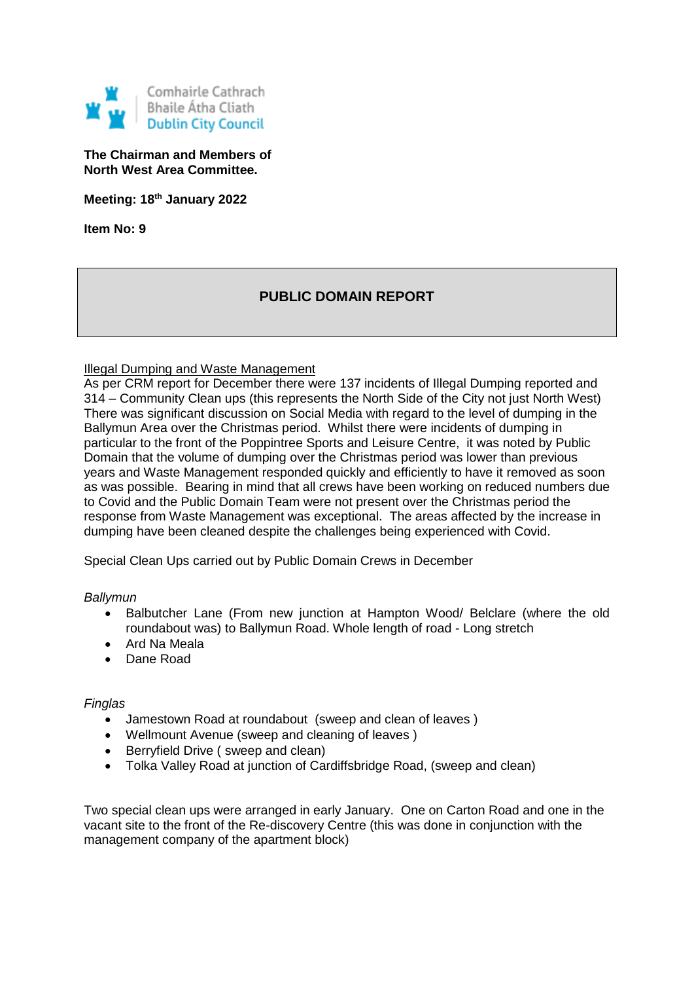

**The Chairman and Members of North West Area Committee.**

**Meeting: 18th January 2022**

**Item No: 9**

# **PUBLIC DOMAIN REPORT**

### Illegal Dumping and Waste Management

As per CRM report for December there were 137 incidents of Illegal Dumping reported and 314 – Community Clean ups (this represents the North Side of the City not just North West) There was significant discussion on Social Media with regard to the level of dumping in the Ballymun Area over the Christmas period. Whilst there were incidents of dumping in particular to the front of the Poppintree Sports and Leisure Centre, it was noted by Public Domain that the volume of dumping over the Christmas period was lower than previous years and Waste Management responded quickly and efficiently to have it removed as soon as was possible. Bearing in mind that all crews have been working on reduced numbers due to Covid and the Public Domain Team were not present over the Christmas period the response from Waste Management was exceptional. The areas affected by the increase in dumping have been cleaned despite the challenges being experienced with Covid.

Special Clean Ups carried out by Public Domain Crews in December

#### *Ballymun*

- Balbutcher Lane (From new junction at Hampton Wood/ Belclare (where the old roundabout was) to Ballymun Road. Whole length of road - Long stretch
- Ard Na Meala
- Dane Road

#### *Finglas*

- Jamestown Road at roundabout (sweep and clean of leaves )
- Wellmount Avenue (sweep and cleaning of leaves )
- Berryfield Drive ( sweep and clean)
- Tolka Valley Road at junction of Cardiffsbridge Road, (sweep and clean)

Two special clean ups were arranged in early January. One on Carton Road and one in the vacant site to the front of the Re-discovery Centre (this was done in conjunction with the management company of the apartment block)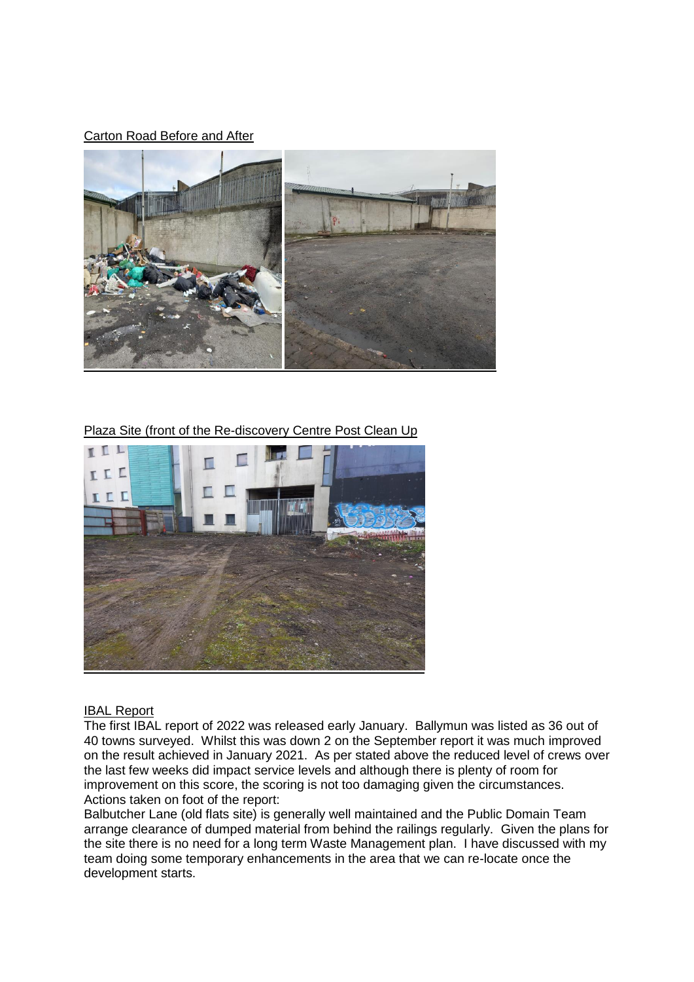### Carton Road Before and After



Plaza Site (front of the Re-discovery Centre Post Clean Up



#### IBAL Report

The first IBAL report of 2022 was released early January. Ballymun was listed as 36 out of 40 towns surveyed. Whilst this was down 2 on the September report it was much improved on the result achieved in January 2021. As per stated above the reduced level of crews over the last few weeks did impact service levels and although there is plenty of room for improvement on this score, the scoring is not too damaging given the circumstances. Actions taken on foot of the report:

Balbutcher Lane (old flats site) is generally well maintained and the Public Domain Team arrange clearance of dumped material from behind the railings regularly. Given the plans for the site there is no need for a long term Waste Management plan. I have discussed with my team doing some temporary enhancements in the area that we can re-locate once the development starts.